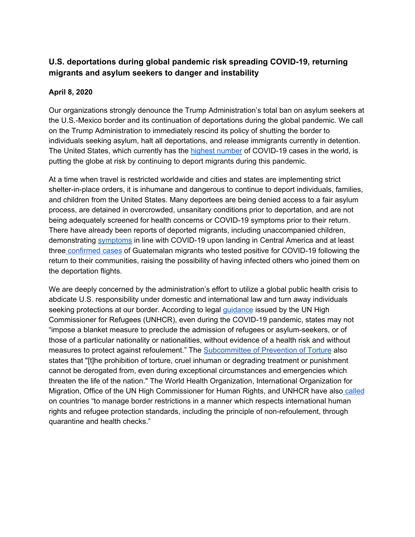# **U.S. deportations during global pandemic risk spreading COVID-19, returning migrants and asylum seekers to danger and instability**

## **April 8, 2020**

Our organizations strongly denounce the Trump Administration's total ban on asylum seekers at the U.S.-Mexico border and its continuation of deportations during the global pandemic. We call on the Trump Administration to immediately rescind its policy of shutting the border to individuals seeking asylum, halt all deportations, and release immigrants currently in detention. The United States, which currently has th[e](https://www.who.int/docs/default-source/coronaviruse/situation-reports/20200330-sitrep-70-covid-19.pdf?sfvrsn=7e0fe3f8_2) highest [number](https://www.who.int/docs/default-source/coronaviruse/situation-reports/20200330-sitrep-70-covid-19.pdf?sfvrsn=7e0fe3f8_2) of COVID-19 cases in the world, is putting the globe at risk by continuing to deport migrants during this pandemic.

At a time when travel is restricted worldwide and cities and states are implementing strict shelter-in-place orders, it is inhumane and dangerous to continue to deport individuals, families, and children from the United States. Many deportees are being denied access to a fair asylum process, are detained in overcrowded, unsanitary conditions prior to deportation, and are not being adequately screened for health concerns or COVID-19 symptoms prior to their return. There have already been reports of deported migrants, including unaccompanied children, demonstrating [symptoms](https://www.prensalibre.com/guatemala/migrantes/detectan-a-tres-menores-con-fiebre-en-dos-vuelos-con-166-migrantes-retornados-de-ee-uu/) in line with COVID-19 upon landing in Central America and at least three [confirmed](https://news.yahoo.com/3rd-guatemalan-tests-positive-virus-190519523.html) cases of Guatemalan migrants who tested positive for COVID-19 following the return to their communities, raising the possibility of having infected others who joined them on the deportation flights.

We are deeply concerned by the administration's effort to utilize a global public health crisis to abdicate U.S. responsibility under domestic and international law and turn away individuals seeking protections at our border. According to lega[l](https://www.refworld.org/docid/5e7132834.html) [guidance](https://www.refworld.org/docid/5e7132834.html) issued by the UN High Commissioner for Refugees (UNHCR), even during the COVID-19 pandemic, states may not "impose a blanket measure to preclude the admission of refugees or asylum-seekers, or of those of a particular nationality or nationalities, without evidence of a health risk and without measures to protect against refoulement." The **[Subcommittee](https://www.ohchr.org/Documents/HRBodies/OPCAT/AdviceStatePartiesCoronavirusPandemic2020.pdf) of Prevention of Torture** also states that "[t]he prohibition of torture, cruel inhuman or degrading treatment or punishment cannot be derogated from, even during exceptional circumstances and emergencies which threaten the life of the nation." The World Health Organization, International Organization for Migration, Office of the UN High Commissioner for Human Rights, and UNHCR have also [called](https://www.unhcr.org/news/press/2020/3/5e836f164/rights-health-refugees-migrants-stateless-must-protected-covid-19-response.html) on countries "to manage border restrictions in a manner which respects international human rights and refugee protection standards, including the principle of non-refoulement, through quarantine and health checks."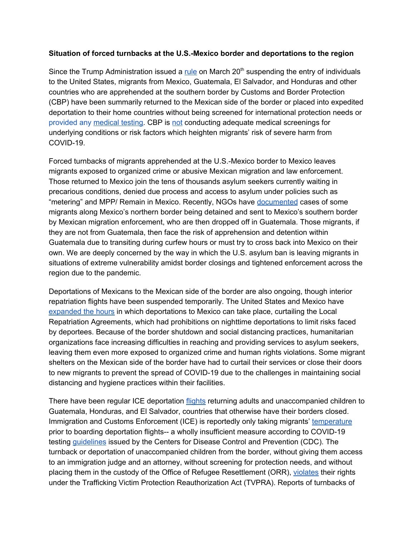#### **Situation of forced turnbacks at the U.S.-Mexico border and deportations to the region**

Since the Trump Administr[a](https://s3.amazonaws.com/public-inspection.federalregister.gov/2020-06238.pdf)tion issued a [rule](https://s3.amazonaws.com/public-inspection.federalregister.gov/2020-06238.pdf) on March 20<sup>th</sup> suspending the entry of individuals to the United States, migrants from Mexico, Guatemala, El Salvador, and Honduras and other countries who are apprehended at the southern border by Customs and Border Protection (CBP) have been summarily returned to the Mexican side of the border or placed into expedited deportation to their home countries without being screened for international protection needs or [provided](https://www.washingtonpost.com/immigration/coronavirus-immigration-border-96-minutes/2020/03/30/13af805c-72c5-11ea-ae50-7148009252e3_story.html) any [medical](https://www.washingtonpost.com/immigration/coronavirus-immigration-border-96-minutes/2020/03/30/13af805c-72c5-11ea-ae50-7148009252e3_story.html) testing. CBP i[s](https://www.propublica.org/article/leaked-border-patrol-memo-tells-agents-to-send-migrants-back-immediately-ignoring-asylum-law) [not](https://www.propublica.org/article/leaked-border-patrol-memo-tells-agents-to-send-migrants-back-immediately-ignoring-asylum-law) conducting adequate medical screenings for underlying conditions or risk factors which heighten migrants' risk of severe harm from COVID-19.

Forced turnbacks of migrants apprehended at the U.S.-Mexico border to Mexico leaves migrants exposed to organized crime or abusive Mexican migration and law enforcement. Those returned to Mexico join the tens of thousands asylum seekers currently waiting in precarious conditions, denied due process and access to asylum under policies such as "metering" and MPP/ Remain in Mexico. Recently, NGOs have [documented](https://twitter.com/La72Tenosique/status/1245398429909438465) cases of some migrants along Mexico's northern border being detained and sent to Mexico's southern border by Mexican migration enforcement, who are then dropped off in Guatemala. Those migrants, if they are not from Guatemala, then face the risk of apprehension and detention within Guatemala due to transiting during curfew hours or must try to cross back into Mexico on their own. We are deeply concerned by the way in which the U.S. asylum ban is leaving migrants in situations of extreme vulnerability amidst border closings and tightened enforcement across the region due to the pandemic.

Deportations of Mexicans to the Mexican side of the border are also ongoing, though interior repatriation flights have been suspended temporarily. The United States and Mexico have [expanded](https://www.gob.mx/sre/prensa/new-covid-19-protective-measures-for-repatriated-mexicans?tab=) the hours in which deportations to Mexico can take place, curtailing the Local Repatriation Agreements, which had prohibitions on nighttime deportations to limit risks faced by deportees. Because of the border shutdown and social distancing practices, humanitarian organizations face increasing difficulties in reaching and providing services to asylum seekers, leaving them even more exposed to organized crime and human rights violations. Some migrant shelters on the Mexican side of the border have had to curtail their services or close their doors to new migrants to prevent the spread of COVID-19 due to the challenges in maintaining social distancing and hygiene practices within their facilities.

There have been regular ICE deportation [flights](https://www.ice.gov/news/releases/ice-air-flying-home-us-citizens-central-america-during-covid-19-outbreak#wcm-survey-target-id) returning adults and unaccompanied children to Guatemala, Honduras, and El Salvador, countries that otherwise have their borders closed. Immigration and Customs Enforcement (ICE) is reportedly only taking migrants' [temperature](https://www.latimes.com/politics/story/2020-03-29/trump-deportations-guatemala-coronavirus) prior to boarding deportation flights-- a wholly insufficient measure according to COVID-19 testin[g](https://www.cdc.gov/coronavirus/2019-nCoV/hcp/clinical-criteria.html) [guidelines](https://www.cdc.gov/coronavirus/2019-nCoV/hcp/clinical-criteria.html) issued by the Centers for Disease Control and Prevention (CDC). The turnback or deportation of unaccompanied children from the border, without giving them access to an immigration judge and an attorney, without screening for protection needs, and without placing them in the custody of the Office of Refugee Resettlement (ORR)[,](https://www.buzzfeednews.com/article/hamedaleaziz/coronavirus-unaccompanied-minors-deported) [violates](https://www.buzzfeednews.com/article/hamedaleaziz/coronavirus-unaccompanied-minors-deported) their rights under the Trafficking Victim Protection Reauthorization Act (TVPRA). Reports of turnbacks of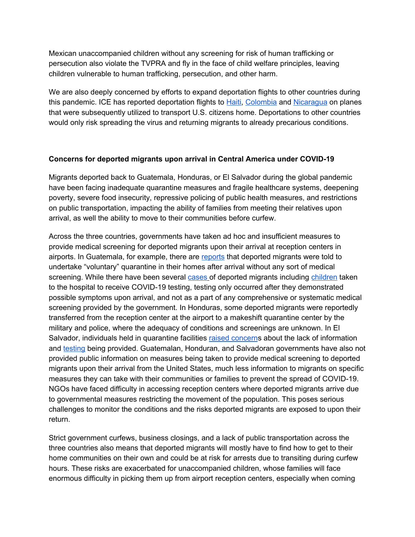Mexican unaccompanied children without any screening for risk of human trafficking or persecution also violate the TVPRA and fly in the face of child welfare principles, leaving children vulnerable to human trafficking, persecution, and other harm.

We are also deeply concerned by efforts to expand deportation flights to other countries during this pandemic. ICE has reported deportation flights t[o](https://www.miamiherald.com/news/nation-world/world/americas/haiti/article241799806.html) [Haiti](https://www.miamiherald.com/news/nation-world/world/americas/haiti/article241799806.html)[,](https://www.ice.gov/news/releases/ice-air-flying-home-us-citizens-colombia-during-covid-19#wcm-survey-target-id) [Colombia](https://www.ice.gov/news/releases/ice-air-flying-home-us-citizens-colombia-during-covid-19#wcm-survey-target-id) an[d](https://www.ice.gov/news/releases/ice-air-brought-home-69-us-citizens-and-lawful-permanent-residents-nicaragua-and) [Nicaragua](https://www.ice.gov/news/releases/ice-air-brought-home-69-us-citizens-and-lawful-permanent-residents-nicaragua-and) on planes that were subsequently utilized to transport U.S. citizens home. Deportations to other countries would only risk spreading the virus and returning migrants to already precarious conditions.

#### **Concerns for deported migrants upon arrival in Central America under COVID-19**

Migrants deported back to Guatemala, Honduras, or El Salvador during the global pandemic have been facing inadequate quarantine measures and fragile healthcare systems, deepening poverty, severe food insecurity, repressive policing of public health measures, and restrictions on public transportation, impacting the ability of families from meeting their relatives upon arrival, as well the ability to move to their communities before curfew.

Across the three countries, governments have taken ad hoc and insufficient measures to provide medical screening for deported migrants upon their arrival at reception centers in airports. In Guatemala, for example, there are [reports](https://medium.com/@PrensaComunitar/siguen-las-deportaciones-desde-estados-unidos-a%C3%BAn-con-covid-19-8ec944777524) that deported migrants were told to undertake "voluntary" quarantine in their homes after arrival without any sort of medical screening. While there have been several [cases](https://www.guatevision.com/nacionales/coronavirus-envian-a-hospital-de-villa-nueva-a-dos-deportados-con-fiebre-ultima-hora) of deported migrants including [children](https://www.prensalibre.com/guatemala/migrantes/detectan-a-tres-menores-con-fiebre-en-dos-vuelos-con-166-migrantes-retornados-de-ee-uu/) taken to the hospital to receive COVID-19 testing, testing only occurred after they demonstrated possible symptoms upon arrival, and not as a part of any comprehensive or systematic medical screening provided by the government. In Honduras, some deported migrants were reportedly transferred from the reception center at the airport to a makeshift quarantine center by the military and police, where the adequacy of conditions and screenings are unknown. In El Salvador, individuals held in quarantine facilitie[s](https://elfaro.net/es/202003/el_salvador/24210/Diario-de-cuarentena-5-no-manden-esa-carta.htm) raised [concern](https://elfaro.net/es/202003/el_salvador/24210/Diario-de-cuarentena-5-no-manden-esa-carta.htm)s about the lack of information and [testing](https://elfaro.net/es/202004/el_salvador/24233/El-%C3%BAltimo-mensaje-de-%C3%93scar-M%C3%A9ndez-%E2%80%9CD%C3%ADgale-a-los-doctores-que-vengan-a-verme-por-favor%E2%80%9D.htm) being provided. Guatemalan, Honduran, and Salvadoran governments have also not provided public information on measures being taken to provide medical screening to deported migrants upon their arrival from the United States, much less information to migrants on specific measures they can take with their communities or families to prevent the spread of COVID-19. NGOs have faced difficulty in accessing reception centers where deported migrants arrive due to governmental measures restricting the movement of the population. This poses serious challenges to monitor the conditions and the risks deported migrants are exposed to upon their return.

Strict government curfews, business closings, and a lack of public transportation across the three countries also means that deported migrants will mostly have to find how to get to their home communities on their own and could be at risk for arrests due to transiting during curfew hours. These risks are exacerbated for unaccompanied children, whose families will face enormous difficulty in picking them up from airport reception centers, especially when coming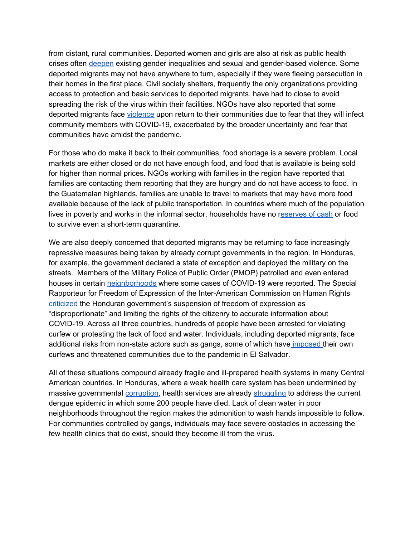from distant, rural communities. Deported women and girls are also at risk as public health crises ofte[n](https://data2.unhcr.org/en/documents/download/74763) [deepen](https://data2.unhcr.org/en/documents/download/74763) existing gender inequalities and sexual and gender-based violence. Some deported migrants may not have anywhere to turn, especially if they were fleeing persecution in their homes in the first place. Civil society shelters, frequently the only organizations providing access to protection and basic services to deported migrants, have had to close to avoid spreading the risk of the virus within their facilities. NGOs have also reported that some deported migrants face [violence](https://www.wsj.com/articles/guatemala-asks-u-s-to-halt-deportations-of-guatemalans-to-prevent-spreading-coronavirus-11585694116) upon return to their communities due to fear that they will infect community members with COVID-19, exacerbated by the broader uncertainty and fear that communities have amidst the pandemic.

For those who do make it back to their communities, food shortage is a severe problem. Local markets are either closed or do not have enough food, and food that is available is being sold for higher than normal prices. NGOs working with families in the region have reported that families are contacting them reporting that they are hungry and do not have access to food. In the Guatemalan highlands, families are unable to travel to markets that may have more food available because of the lack of public transportation. In countries where much of the population lives in poverty and works in the informal sector, households have no [reserves](https://elfaro.net/en/202003/el_salvador/24150/%E2%80%9CIf-I-Stay-Home-I%E2%80%99ll-Starve%E2%80%9D.htm) of cash or food to survive even a short-term quarantine.

We are also deeply concerned that deported migrants may be returning to face increasingly repressive measures being taken by already corrupt governments in the region. In Honduras, for example, the government declared a state of exception and deployed the military on the streets. Members of the Military Police of Public Order (PMOP) patrolled and even entered houses i[n](http://www.web.ellibertador.hn/index.php/noticias/nacionales/3781-urgente-240-casas-invadidas-por-militares-en-la-capital) certain [neighborhoods](http://www.web.ellibertador.hn/index.php/noticias/nacionales/3781-urgente-240-casas-invadidas-por-militares-en-la-capital) where some cases of COVID-19 were reported. The Special Rapporteur for Freedom of Expression of the Inter-American Commission on Human Rights [criticized](http://www.pasosdeanimalgrande.com/index.php/en/amenazas-a-la-libertad-de-expresion/item/2739-relator-especial-de-libertad-de-expresion-de-la-cidh-considera-desproporcionada-la-medida-del-gobierno-de-suspender-el-articulo-72-de-la-constitucion) the Honduran government's suspension of freedom of expression as "disproportionate" and limiting the rights of the citizenry to accurate information about COVID-19. Across all three countries, hundreds of people have been arrested for violating curfew or protesting the lack of food and water. Individuals, including deported migrants, face additional risks from non-state actors such as gangs, some of which have [imposed](https://elfaro.net/es/202003/el_salvador/24211/Pandillas-amenazan-a-quien-incumpla-la-cuarentena.htm) their own curfews and threatened communities due to the pandemic in El Salvador.

All of these situations compound already fragile and ill-prepared health systems in many Central American countries. In Honduras, where a weak health care system has been undermined by massive governmental [corruption,](https://www.aljazeera.com/news/2020/03/coronavirus-crisis-exposes-pandemic-honduras-analysts-200327183808256.html) health services are alread[y](https://www.aljazeera.com/news/2020/03/central-american-countries-ramp-measures-fight-coronavirus-200313213248918.html) [struggling](https://www.aljazeera.com/news/2020/03/central-american-countries-ramp-measures-fight-coronavirus-200313213248918.html) to address the current dengue epidemic in which some 200 people have died. Lack of clean water in poor neighborhoods throughout the region makes the admonition to wash hands impossible to follow. For communities controlled by gangs, individuals may face severe obstacles in accessing the few health clinics that do exist, should they become ill from the virus.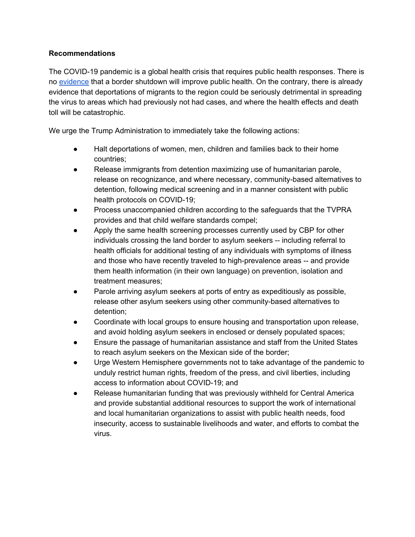## **Recommendations**

The COVID-19 pandemic is a global health crisis that requires public health responses. There is n[o](https://docs.google.com/document/d/1beORFZsFhKgSd17qoOLkes9A0FeNCIyoGB5MiWOsBKU/edit) [evidence](https://docs.google.com/document/d/1beORFZsFhKgSd17qoOLkes9A0FeNCIyoGB5MiWOsBKU/edit) that a border shutdown will improve public health. On the contrary, there is already evidence that deportations of migrants to the region could be seriously detrimental in spreading the virus to areas which had previously not had cases, and where the health effects and death toll will be catastrophic.

We urge the Trump Administration to immediately take the following actions:

- Halt deportations of women, men, children and families back to their home countries;
- Release immigrants from detention maximizing use of humanitarian parole, release on recognizance, and where necessary, community-based alternatives to detention, following medical screening and in a manner consistent with public health protocols on COVID-19;
- Process unaccompanied children according to the safeguards that the TVPRA provides and that child welfare standards compel;
- Apply the same health screening processes currently used by CBP for other individuals crossing the land border to asylum seekers -- including referral to health officials for additional testing of any individuals with symptoms of illness and those who have recently traveled to high-prevalence areas -- and provide them health information (in their own language) on prevention, isolation and treatment measures;
- Parole arriving asylum seekers at ports of entry as expeditiously as possible, release other asylum seekers using other community-based alternatives to detention;
- Coordinate with local groups to ensure housing and transportation upon release, and avoid holding asylum seekers in enclosed or densely populated spaces;
- Ensure the passage of humanitarian assistance and staff from the United States to reach asylum seekers on the Mexican side of the border;
- Urge Western Hemisphere governments not to take advantage of the pandemic to unduly restrict human rights, freedom of the press, and civil liberties, including access to information about COVID-19; and
- Release humanitarian funding that was previously withheld for Central America and provide substantial additional resources to support the work of international and local humanitarian organizations to assist with public health needs, food insecurity, access to sustainable livelihoods and water, and efforts to combat the virus.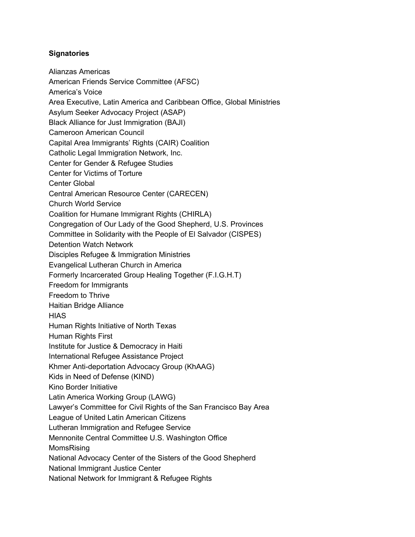### **Signatories**

Alianzas Americas American Friends Service Committee (AFSC) America's Voice Area Executive, Latin America and Caribbean Office, Global Ministries Asylum Seeker Advocacy Project (ASAP) Black Alliance for Just Immigration (BAJI) Cameroon American Council Capital Area Immigrants' Rights (CAIR) Coalition Catholic Legal Immigration Network, Inc. Center for Gender & Refugee Studies Center for Victims of Torture Center Global Central American Resource Center (CARECEN) Church World Service Coalition for Humane Immigrant Rights (CHIRLA) Congregation of Our Lady of the Good Shepherd, U.S. Provinces Committee in Solidarity with the People of El Salvador (CISPES) Detention Watch Network Disciples Refugee & Immigration Ministries Evangelical Lutheran Church in America Formerly Incarcerated Group Healing Together (F.I.G.H.T) Freedom for Immigrants Freedom to Thrive Haitian Bridge Alliance **HIAS** Human Rights Initiative of North Texas Human Rights First Institute for Justice & Democracy in Haiti International Refugee Assistance Project Khmer Anti-deportation Advocacy Group (KhAAG) Kids in Need of Defense (KIND) Kino Border Initiative Latin America Working Group (LAWG) Lawyer's Committee for Civil Rights of the San Francisco Bay Area League of United Latin American Citizens Lutheran Immigration and Refugee Service Mennonite Central Committee U.S. Washington Office MomsRising National Advocacy Center of the Sisters of the Good Shepherd National Immigrant Justice Center National Network for Immigrant & Refugee Rights